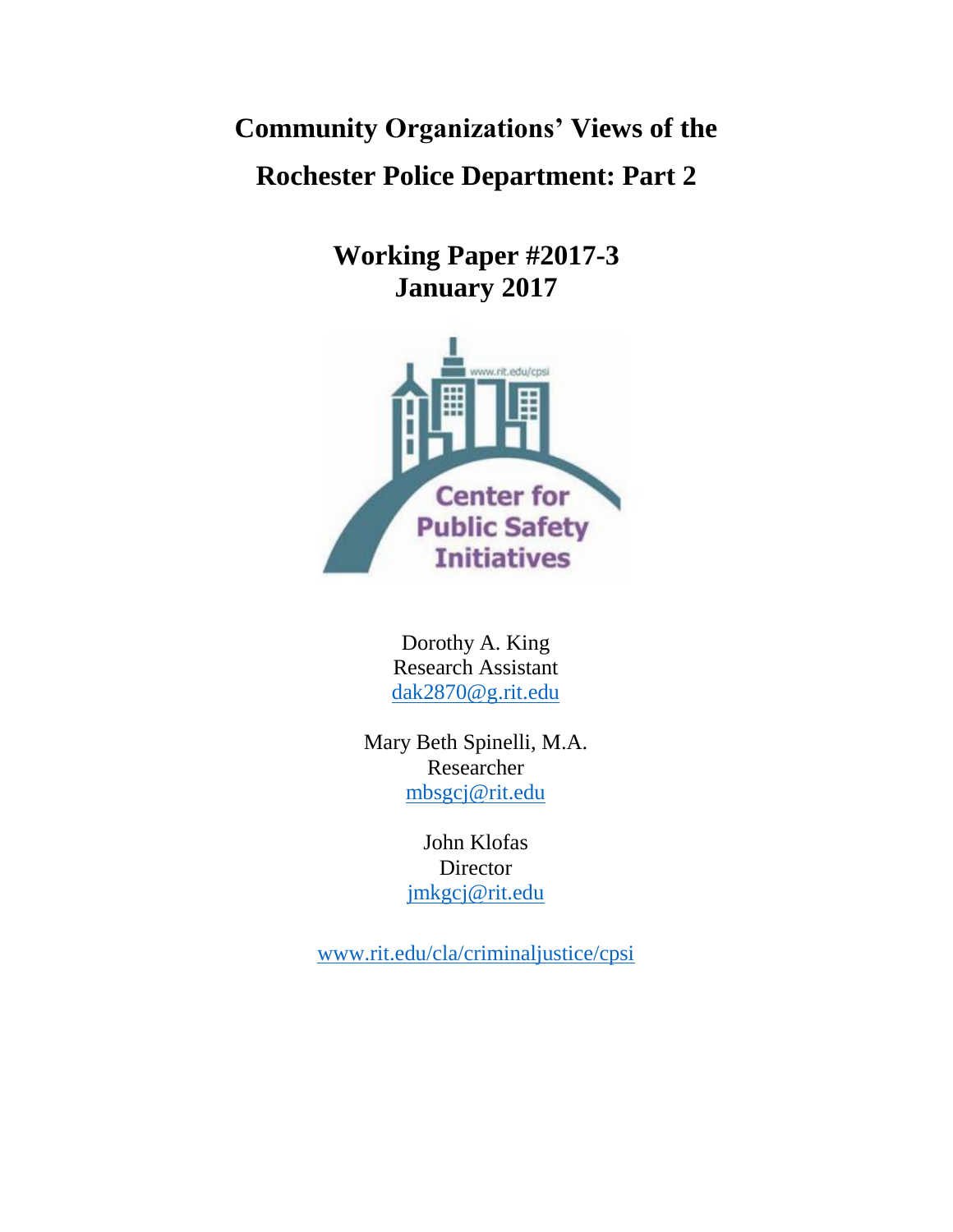**Community Organizations' Views of the Rochester Police Department: Part 2**

> **Working Paper #2017-3 January 2017**



Dorothy A. King Research Assistant [dak2870@g.rit.edu](mailto:dak2870@g.rit.edu)

Mary Beth Spinelli, M.A. Researcher [mbsgcj@rit.edu](mailto:mbsgcj@rit.edu)

> John Klofas Director [jmkgcj@rit.edu](mailto:jmkgcj@rit.edu)

[www.rit.edu/cla/criminaljustice/cpsi](http://www.rit.edu/cla/criminaljustice/cpsi)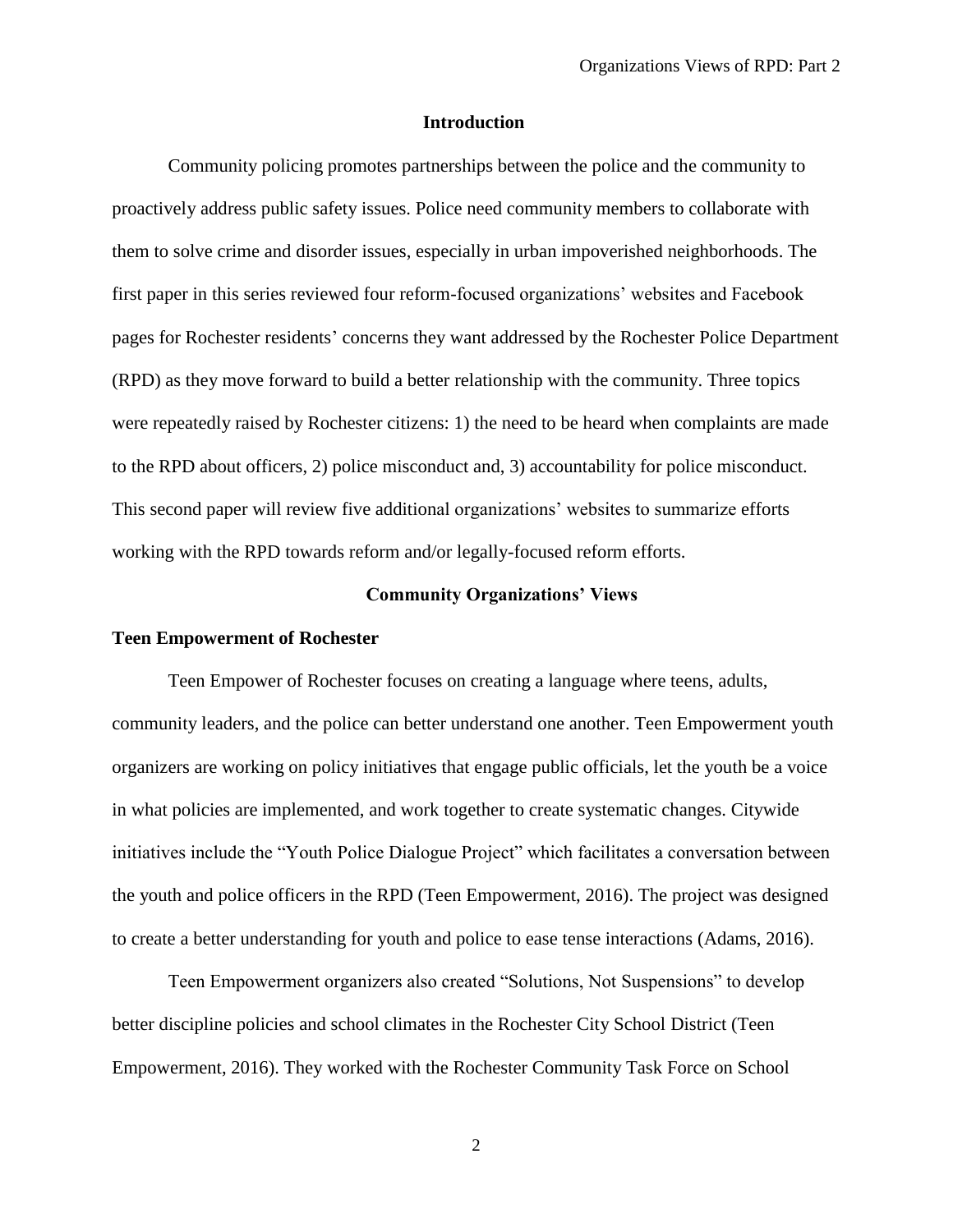### **Introduction**

Community policing promotes partnerships between the police and the community to proactively address public safety issues. Police need community members to collaborate with them to solve crime and disorder issues, especially in urban impoverished neighborhoods. The first paper in this series reviewed four reform-focused organizations' websites and Facebook pages for Rochester residents' concerns they want addressed by the Rochester Police Department (RPD) as they move forward to build a better relationship with the community. Three topics were repeatedly raised by Rochester citizens: 1) the need to be heard when complaints are made to the RPD about officers, 2) police misconduct and, 3) accountability for police misconduct. This second paper will review five additional organizations' websites to summarize efforts working with the RPD towards reform and/or legally-focused reform efforts.

# **Community Organizations' Views**

# **Teen Empowerment of Rochester**

Teen Empower of Rochester focuses on creating a language where teens, adults, community leaders, and the police can better understand one another. Teen Empowerment youth organizers are working on policy initiatives that engage public officials, let the youth be a voice in what policies are implemented, and work together to create systematic changes. Citywide initiatives include the "Youth Police Dialogue Project" which facilitates a conversation between the youth and police officers in the RPD (Teen Empowerment, 2016). The project was designed to create a better understanding for youth and police to ease tense interactions (Adams, 2016).

Teen Empowerment organizers also created "Solutions, Not Suspensions" to develop better discipline policies and school climates in the Rochester City School District (Teen Empowerment, 2016). They worked with the Rochester Community Task Force on School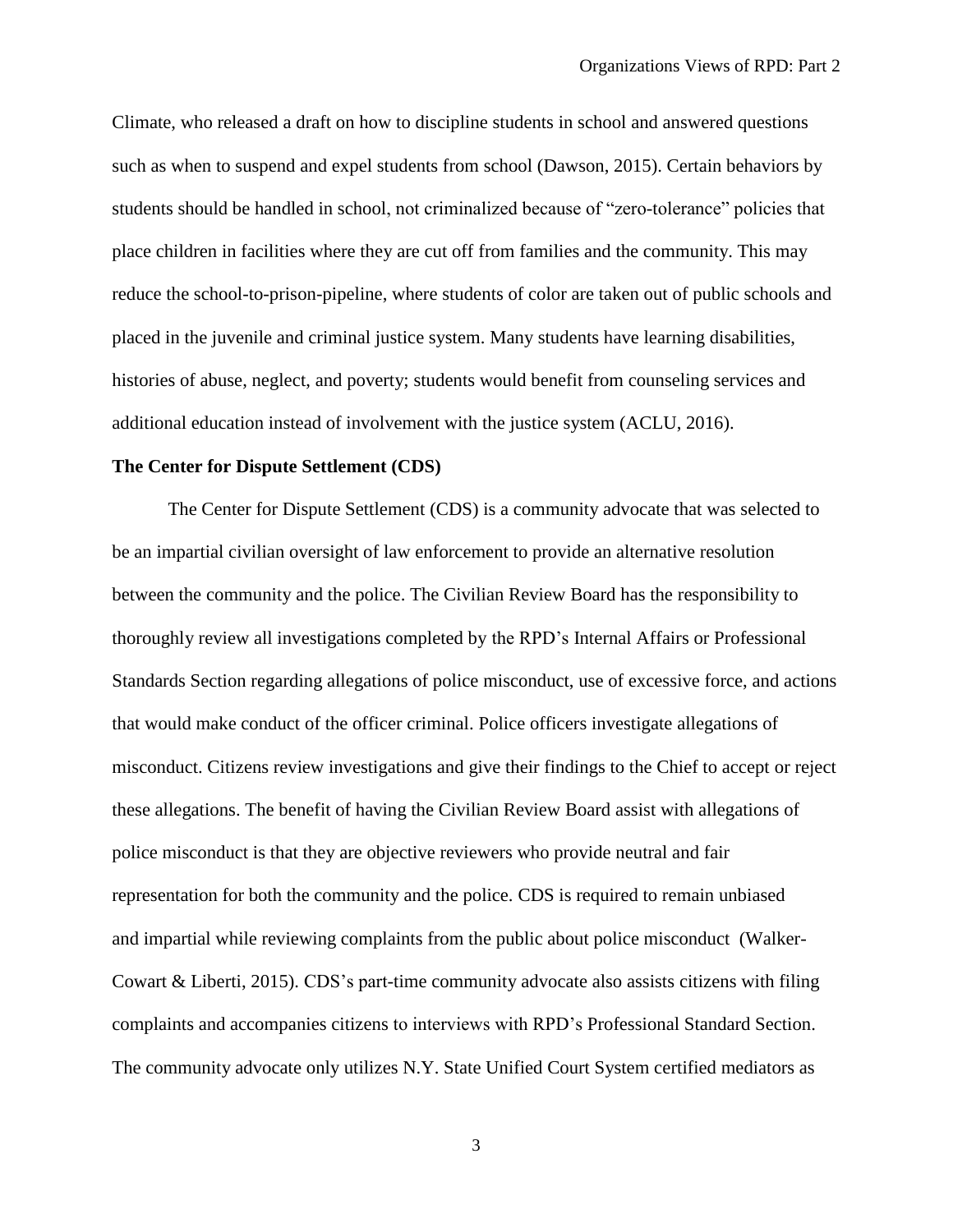Climate, who released a draft on how to discipline students in school and answered questions such as when to suspend and expel students from school (Dawson, 2015). Certain behaviors by students should be handled in school, not criminalized because of "zero-tolerance" policies that place children in facilities where they are cut off from families and the community. This may reduce the school-to-prison-pipeline, where students of color are taken out of public schools and placed in the juvenile and criminal justice system. Many students have learning disabilities, histories of abuse, neglect, and poverty; students would benefit from counseling services and additional education instead of involvement with the justice system (ACLU, 2016).

# **The Center for Dispute Settlement (CDS)**

The Center for Dispute Settlement (CDS) is a community advocate that was selected to be an impartial civilian oversight of law enforcement to provide an alternative resolution between the community and the police. The Civilian Review Board has the responsibility to thoroughly review all investigations completed by the RPD's Internal Affairs or Professional Standards Section regarding allegations of police misconduct, use of excessive force, and actions that would make conduct of the officer criminal. Police officers investigate allegations of misconduct. Citizens review investigations and give their findings to the Chief to accept or reject these allegations. The benefit of having the Civilian Review Board assist with allegations of police misconduct is that they are objective reviewers who provide neutral and fair representation for both the community and the police. CDS is required to remain unbiased and impartial while reviewing complaints from the public about police misconduct (Walker-Cowart & Liberti, 2015). CDS's part-time community advocate also assists citizens with filing complaints and accompanies citizens to interviews with RPD's Professional Standard Section. The community advocate only utilizes N.Y. State Unified Court System certified mediators as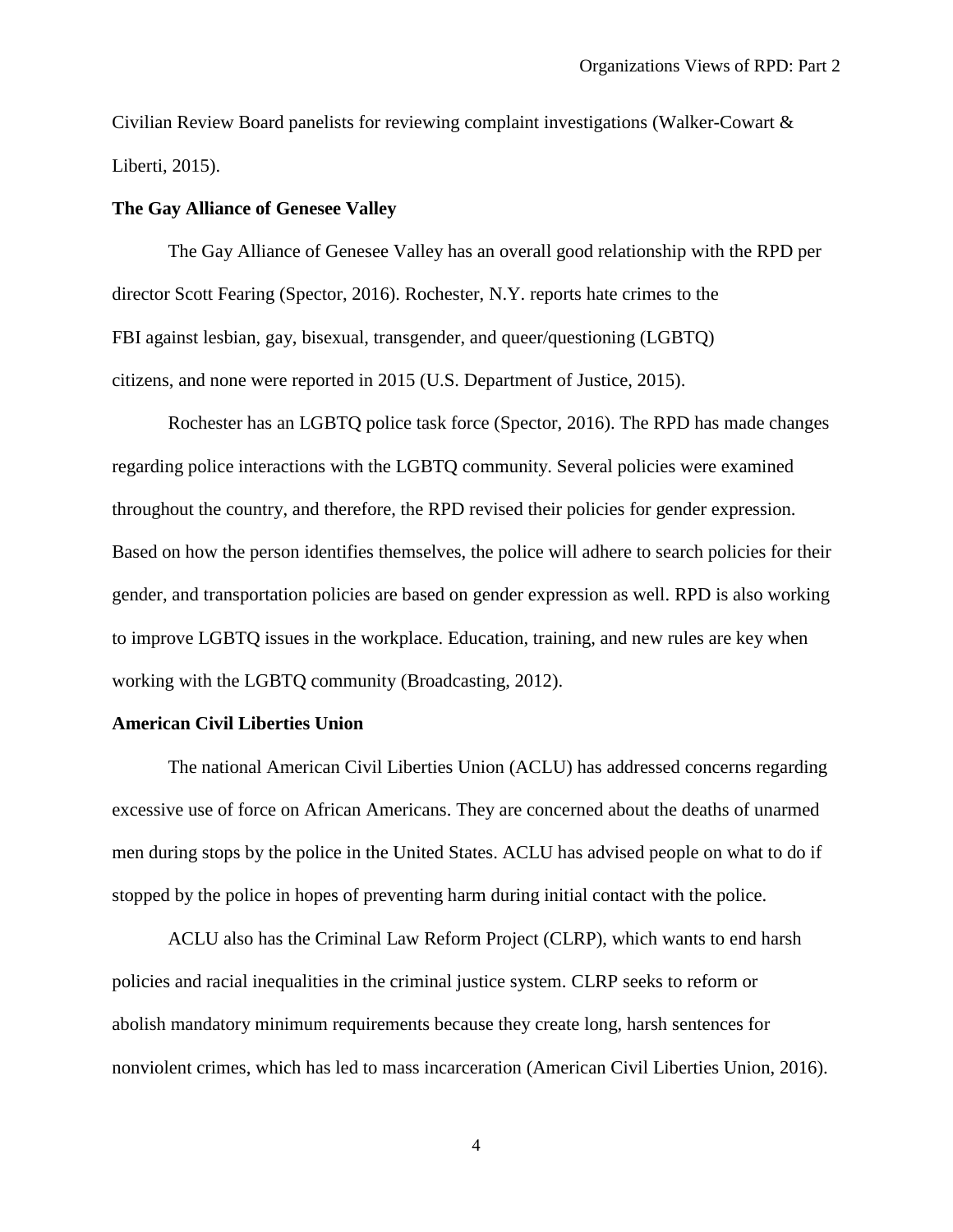Civilian Review Board panelists for reviewing complaint investigations (Walker-Cowart & Liberti, 2015).

# **The Gay Alliance of Genesee Valley**

The Gay Alliance of Genesee Valley has an overall good relationship with the RPD per director Scott Fearing (Spector, 2016). Rochester, N.Y. reports hate crimes to the FBI against lesbian, gay, bisexual, transgender, and queer/questioning (LGBTQ) citizens, and none were reported in 2015 (U.S. Department of Justice, 2015).

Rochester has an LGBTQ police task force (Spector, 2016). The RPD has made changes regarding police interactions with the LGBTQ community. Several policies were examined throughout the country, and therefore, the RPD revised their policies for gender expression. Based on how the person identifies themselves, the police will adhere to search policies for their gender, and transportation policies are based on gender expression as well. RPD is also working to improve LGBTQ issues in the workplace. Education, training, and new rules are key when working with the LGBTQ community (Broadcasting, 2012).

#### **American Civil Liberties Union**

The national American Civil Liberties Union (ACLU) has addressed concerns regarding excessive use of force on African Americans. They are concerned about the deaths of unarmed men during stops by the police in the United States. ACLU has advised people on what to do if stopped by the police in hopes of preventing harm during initial contact with the police.

ACLU also has the Criminal Law Reform Project (CLRP), which wants to end harsh policies and racial inequalities in the criminal justice system. CLRP seeks to reform or abolish mandatory minimum requirements because they create long, harsh sentences for nonviolent crimes, which has led to mass incarceration (American Civil Liberties Union, 2016).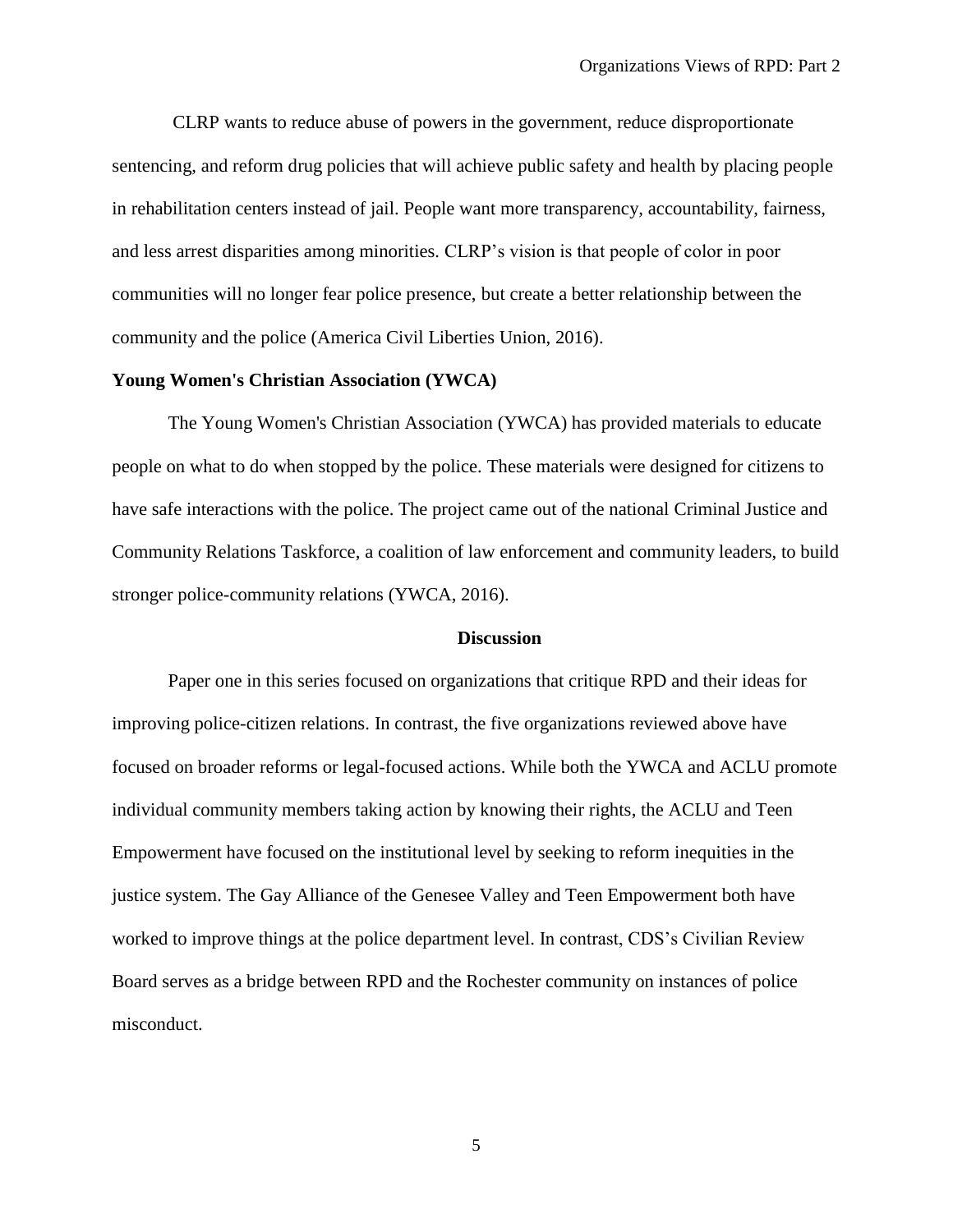CLRP wants to reduce abuse of powers in the government, reduce disproportionate sentencing, and reform drug policies that will achieve public safety and health by placing people in rehabilitation centers instead of jail. People want more transparency, accountability, fairness, and less arrest disparities among minorities. CLRP's vision is that people of color in poor communities will no longer fear police presence, but create a better relationship between the community and the police (America Civil Liberties Union, 2016).

# **Young Women's Christian Association (YWCA)**

The Young Women's Christian Association (YWCA) has provided materials to educate people on what to do when stopped by the police. These materials were designed for citizens to have safe interactions with the police. The project came out of the national [Criminal Justice and](http://www.ywcahbg.org/CJCRTaskforce) [Community Relations Taskforce,](http://www.ywcahbg.org/CJCRTaskforce) a coalition of law enforcement and community leaders, to build stronger police-community relations (YWCA, 2016).

# **Discussion**

Paper one in this series focused on organizations that critique RPD and their ideas for improving police-citizen relations. In contrast, the five organizations reviewed above have focused on broader reforms or legal-focused actions. While both the YWCA and ACLU promote individual community members taking action by knowing their rights, the ACLU and Teen Empowerment have focused on the institutional level by seeking to reform inequities in the justice system. The Gay Alliance of the Genesee Valley and Teen Empowerment both have worked to improve things at the police department level. In contrast, CDS's Civilian Review Board serves as a bridge between RPD and the Rochester community on instances of police misconduct.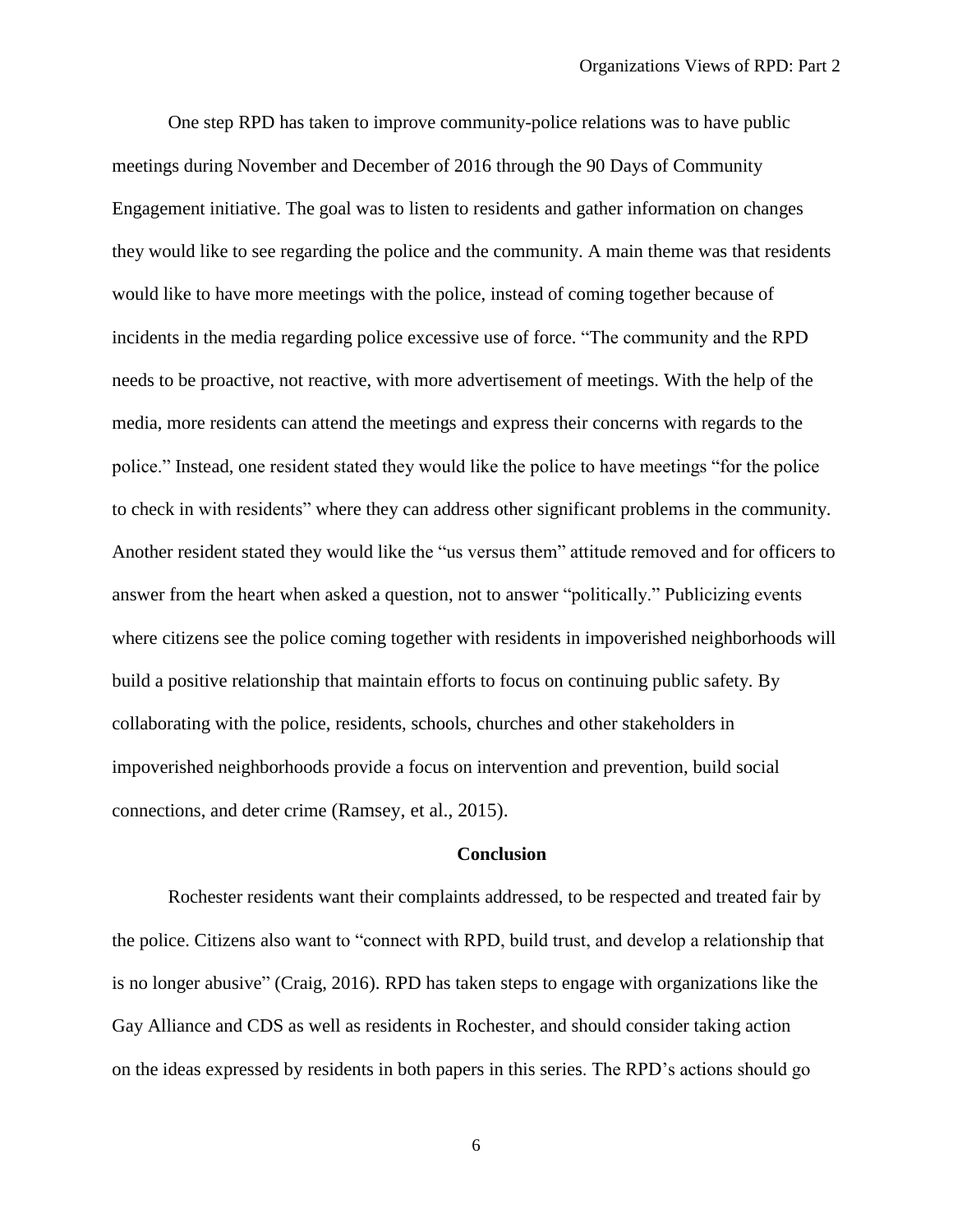One step RPD has taken to improve community-police relations was to have public meetings during November and December of 2016 through the 90 Days of Community Engagement initiative. The goal was to listen to residents and gather information on changes they would like to see regarding the police and the community. A main theme was that residents would like to have more meetings with the police, instead of coming together because of incidents in the media regarding police excessive use of force. "The community and the RPD needs to be proactive, not reactive, with more advertisement of meetings. With the help of the media, more residents can attend the meetings and express their concerns with regards to the police." Instead, one resident stated they would like the police to have meetings "for the police to check in with residents" where they can address other significant problems in the community. Another resident stated they would like the "us versus them" attitude removed and for officers to answer from the heart when asked a question, not to answer "politically." Publicizing events where citizens see the police coming together with residents in impoverished neighborhoods will build a positive relationship that maintain efforts to focus on continuing public safety. By collaborating with the police, residents, schools, churches and other stakeholders in impoverished neighborhoods provide a focus on intervention and prevention, build social connections, and deter crime (Ramsey, et al., 2015).

# **Conclusion**

Rochester residents want their complaints addressed, to be respected and treated fair by the police. Citizens also want to "connect with RPD, build trust, and develop a relationship that is no longer abusive" (Craig, 2016). RPD has taken steps to engage with organizations like the Gay Alliance and CDS as well as residents in Rochester, and should consider taking action on the ideas expressed by residents in both papers in this series. The RPD's actions should go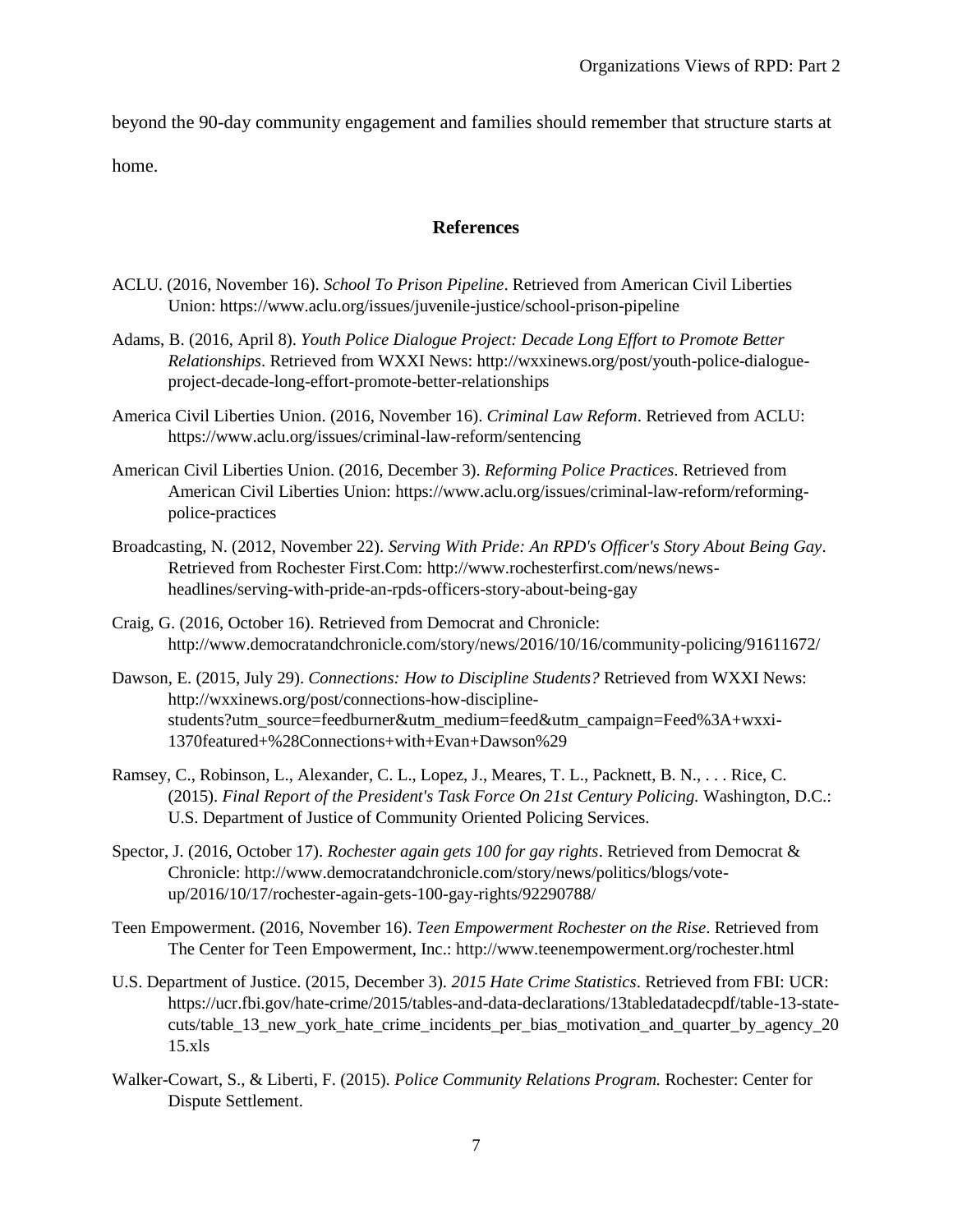beyond the 90-day community engagement and families should remember that structure starts at home.

# **References**

- ACLU. (2016, November 16). *School To Prison Pipeline*. Retrieved from American Civil Liberties Union: https://www.aclu.org/issues/juvenile-justice/school-prison-pipeline
- Adams, B. (2016, April 8). *Youth Police Dialogue Project: Decade Long Effort to Promote Better Relationships*. Retrieved from WXXI News: http://wxxinews.org/post/youth-police-dialogueproject-decade-long-effort-promote-better-relationships
- America Civil Liberties Union. (2016, November 16). *Criminal Law Reform*. Retrieved from ACLU: https://www.aclu.org/issues/criminal-law-reform/sentencing
- American Civil Liberties Union. (2016, December 3). *Reforming Police Practices*. Retrieved from American Civil Liberties Union: https://www.aclu.org/issues/criminal-law-reform/reformingpolice-practices
- Broadcasting, N. (2012, November 22). *Serving With Pride: An RPD's Officer's Story About Being Gay*. Retrieved from Rochester First.Com: http://www.rochesterfirst.com/news/newsheadlines/serving-with-pride-an-rpds-officers-story-about-being-gay
- Craig, G. (2016, October 16). Retrieved from Democrat and Chronicle: http://www.democratandchronicle.com/story/news/2016/10/16/community-policing/91611672/
- Dawson, E. (2015, July 29). *Connections: How to Discipline Students?* Retrieved from WXXI News: http://wxxinews.org/post/connections-how-disciplinestudents?utm\_source=feedburner&utm\_medium=feed&utm\_campaign=Feed%3A+wxxi-1370featured+%28Connections+with+Evan+Dawson%29
- Ramsey, C., Robinson, L., Alexander, C. L., Lopez, J., Meares, T. L., Packnett, B. N., . . . Rice, C. (2015). *Final Report of the President's Task Force On 21st Century Policing.* Washington, D.C.: U.S. Department of Justice of Community Oriented Policing Services.
- Spector, J. (2016, October 17). *Rochester again gets 100 for gay rights*. Retrieved from Democrat & Chronicle: http://www.democratandchronicle.com/story/news/politics/blogs/voteup/2016/10/17/rochester-again-gets-100-gay-rights/92290788/
- Teen Empowerment. (2016, November 16). *Teen Empowerment Rochester on the Rise*. Retrieved from The Center for Teen Empowerment, Inc.: http://www.teenempowerment.org/rochester.html
- U.S. Department of Justice. (2015, December 3). *2015 Hate Crime Statistics*. Retrieved from FBI: UCR: https://ucr.fbi.gov/hate-crime/2015/tables-and-data-declarations/13tabledatadecpdf/table-13-statecuts/table\_13\_new\_york\_hate\_crime\_incidents\_per\_bias\_motivation\_and\_quarter\_by\_agency\_20 15.xls
- Walker-Cowart, S., & Liberti, F. (2015). *Police Community Relations Program.* Rochester: Center for Dispute Settlement.